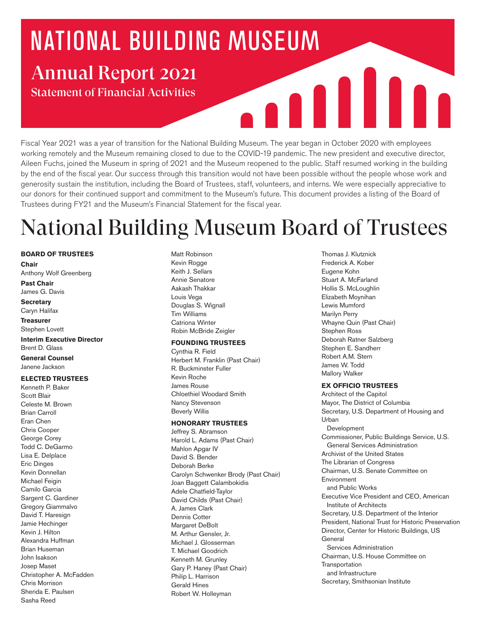# **NATIONAL BUILDING MUSEUM** Annual Report 2021

Statement of Financial Activities

Fiscal Year 2021 was a year of transition for the National Building Museum. The year began in October 2020 with employees working remotely and the Museum remaining closed to due to the COVID-19 pandemic. The new president and executive director, Aileen Fuchs, joined the Museum in spring of 2021 and the Museum reopened to the public. Staff resumed working in the building by the end of the fiscal year. Our success through this transition would not have been possible without the people whose work and generosity sustain the institution, including the Board of Trustees, staff, volunteers, and interns. We were especially appreciative to our donors for their continued support and commitment to the Museum's future. This document provides a listing of the Board of Trustees during FY21 and the Museum's Financial Statement for the fiscal year.

## National Building Museum Board of Trustees

#### **BOARD OF TRUSTEES**

**Chair**  Anthony Wolf Greenberg **Past Chair**

James G. Davis

#### **Secretary** Caryn Halifax

**Treasurer**

Stephen Lovett **Interim Executive Director**

Brent D. Glass **General Counsel** 

Janene Jackson

#### **ELECTED TRUSTEES**

Kenneth P. Baker Scott Blair Celeste M. Brown Brian Carroll Eran Chen Chris Cooper George Corey Todd C. DeGarmo Lisa E. Delplace Eric Dinges Kevin Donnellan Michael Feigin Camilo Garcia Sargent C. Gardiner Gregory Giammalvo David T. Haresign Jamie Hechinger Kevin J. Hilton Alexandra Huffman Brian Huseman John Isakson Josep Maset Christopher A. McFadden Chris Morrison Sherida E. Paulsen Sasha Reed

Matt Robinson Kevin Rogge Keith J. Sellars Annie Senatore Aakash Thakkar Louis Vega Douglas S. Wignall Tim Williams Catriona Winter Robin McBride Zeigler

#### **FOUNDING TRUSTEES**

Cynthia R. Field Herbert M. Franklin (Past Chair) R. Buckminster Fuller Kevin Roche James Rouse Chloethiel Woodard Smith Nancy Stevenson Beverly Willis

#### **HONORARY TRUSTEES**

Jeffrey S. Abramson Harold L. Adams (Past Chair) Mahlon Apgar IV David S. Bender Deborah Berke Carolyn Schwenker Brody (Past Chair) Joan Baggett Calambokidis Adele Chatfield-Taylor David Childs (Past Chair) A. James Clark Dennis Cotter Margaret DeBolt M. Arthur Gensler, Jr. Michael J. Glosserman T. Michael Goodrich Kenneth M. Grunley Gary P. Haney (Past Chair) Philip L. Harrison Gerald Hines Robert W. Holleyman

Thomas J. Klutznick Frederick A. Kober Eugene Kohn Stuart A. McFarland Hollis S. McLoughlin Elizabeth Moynihan Lewis Mumford Marilyn Perry Whayne Quin (Past Chair) Stephen Ross Deborah Ratner Salzberg Stephen E. Sandherr Robert A.M. Stern James W. Todd Mallory Walker

A II I

#### **EX OFFICIO TRUSTEES**

Architect of the Capitol Mayor, The District of Columbia Secretary, U.S. Department of Housing and Urban Development Commissioner, Public Buildings Service, U.S. General Services Administration Archivist of the United States The Librarian of Congress Chairman, U.S. Senate Committee on Environment and Public Works Executive Vice President and CEO, American Institute of Architects Secretary, U.S. Department of the Interior President, National Trust for Historic Preservation Director, Center for Historic Buildings, US General Services Administration Chairman, U.S. House Committee on **Transportation**  and Infrastructure Secretary, Smithsonian Institute